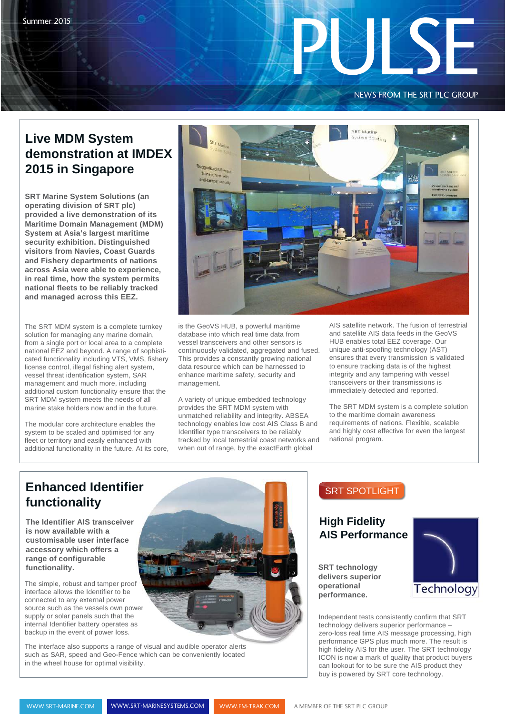### NEWS FROM THE SRT PLC GROUP

Friday of the Second Second

# **Live MDM System demonstration at IMDEX 2015 in Singapore**

**SRT Marine System Solutions (an operating division of SRT plc) provided a live demonstration of its Maritime Domain Management (MDM) System at Asia's largest maritime security exhibition. Distinguished visitors from Navies, Coast Guards and Fishery departments of nations across Asia were able to experience, in real time, how the system permits national fleets to be reliably tracked and managed across this EEZ.**

The SRT MDM system is a complete turnkey solution for managing any marine domain, from a single port or local area to a complete national EEZ and beyond. A range of sophisticated functionality including VTS, VMS, fishery license control, illegal fishing alert system, vessel threat identification system, SAR management and much more, including additional custom functionality ensure that the SRT MDM system meets the needs of all marine stake holders now and in the future.

The modular core architecture enables the system to be scaled and optimised for any fleet or territory and easily enhanced with additional functionality in the future. At its core,



is the GeoVS HUB, a powerful maritime database into which real time data from vessel transceivers and other sensors is continuously validated, aggregated and fused. This provides a constantly growing national data resource which can be harnessed to enhance maritime safety, security and management.

A variety of unique embedded technology provides the SRT MDM system with unmatched reliability and integrity. ABSEA technology enables low cost AIS Class B and Identifier type transceivers to be reliably tracked by local terrestrial coast networks and when out of range, by the exactEarth global

AIS satellite network. The fusion of terrestrial and satellite AIS data feeds in the GeoVS HUB enables total EEZ coverage. Our unique anti-spoofing technology (AST) ensures that every transmission is validated to ensure tracking data is of the highest integrity and any tampering with vessel transceivers or their transmissions is immediately detected and reported.

The SRT MDM system is a complete solution to the maritime domain awareness requirements of nations. Flexible, scalable and highly cost effective for even the largest national program.

# **Enhanced Identifier functionality**

**The Identifier AIS transceiver is now available with a customisable user interface accessory which offers a range of configurable functionality.** 

The simple, robust and tamper proof interface allows the Identifier to be connected to any external power source such as the vessels own power supply or solar panels such that the internal Identifier battery operates as backup in the event of power loss.

The interface also supports a range of visual and audible operator alerts such as SAR, speed and Geo-Fence which can be conveniently located in the wheel house for optimal visibility.

### SRT SPOTLIGHT

### **High Fidelity AIS Performance**

**SRT technology delivers superior operational performance.**



Independent tests consistently confirm that SRT technology delivers superior performance – zero-loss real time AIS message processing, high performance GPS plus much more. The result is high fidelity AIS for the user. The SRT technology ICON is now a mark of quality that product buyers can lookout for to be sure the AIS product they buy is powered by SRT core technology.